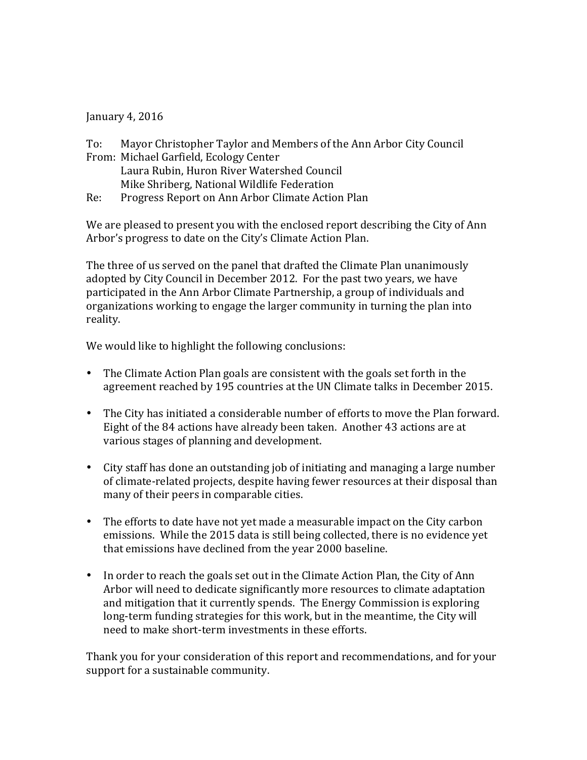January 4, 2016

To: Mayor Christopher Taylor and Members of the Ann Arbor City Council From: Michael Garfield, Ecology Center Laura Rubin, Huron River Watershed Council Mike Shriberg, National Wildlife Federation Re: Progress Report on Ann Arbor Climate Action Plan

We are pleased to present you with the enclosed report describing the City of Ann Arbor's progress to date on the City's Climate Action Plan.

The three of us served on the panel that drafted the Climate Plan unanimously adopted by City Council in December 2012. For the past two years, we have participated in the Ann Arbor Climate Partnership, a group of individuals and organizations working to engage the larger community in turning the plan into reality.

We would like to highlight the following conclusions:

- The Climate Action Plan goals are consistent with the goals set forth in the agreement reached by 195 countries at the UN Climate talks in December 2015.
- The City has initiated a considerable number of efforts to move the Plan forward. Eight of the 84 actions have already been taken. Another 43 actions are at various stages of planning and development.
- City staff has done an outstanding job of initiating and managing a large number of climate-related projects, despite having fewer resources at their disposal than many of their peers in comparable cities.
- The efforts to date have not yet made a measurable impact on the City carbon emissions. While the 2015 data is still being collected, there is no evidence yet that emissions have declined from the year 2000 baseline.
- In order to reach the goals set out in the Climate Action Plan, the City of Ann Arbor will need to dedicate significantly more resources to climate adaptation and mitigation that it currently spends. The Energy Commission is exploring long-term funding strategies for this work, but in the meantime, the City will need to make short-term investments in these efforts.

Thank you for your consideration of this report and recommendations, and for your support for a sustainable community.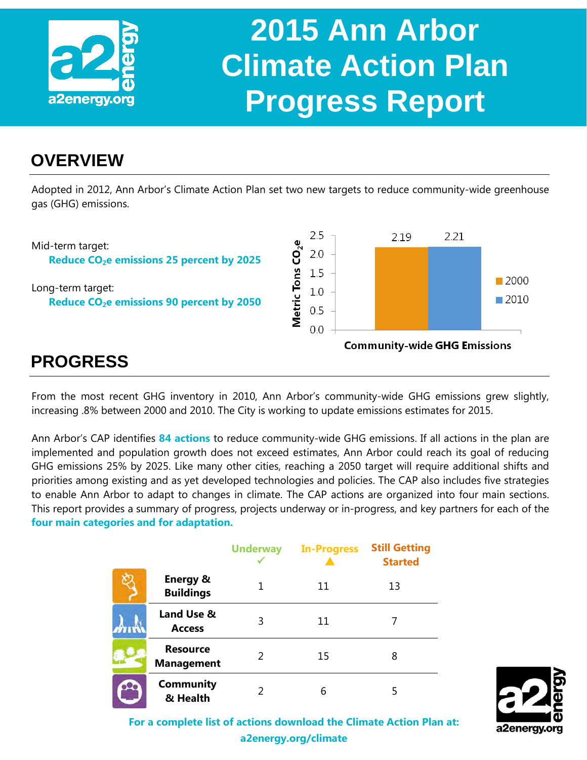

### **OVERVIEW**

Adopted in 2012, Ann Arbor's Climate Action Plan set two new targets to reduce community-wide greenhouse gas (GHG) emissions.



### **PROGRESS**

From the most recent GHG inventory in 2010, Ann Arbor's community-wide GHG emissions grew slightly, increasing .8% between 2000 and 2010. The City is working to update emissions estimates for 2015.

Ann Arbor's CAP identifies **84 actions** to reduce community-wide GHG emissions. If all actions in the plan are implemented and population growth does not exceed estimates, Ann Arbor could reach its goal of reducing GHG emissions 25% by 2025. Like many other cities, reaching a 2050 target will require additional shifts and priorities among existing and as yet developed technologies and policies. The CAP also includes five strategies to enable Ann Arbor to adapt to changes in climate. The CAP actions are organized into four main sections. This report provides a summary of progress, projects underway or in-progress, and key partners for each of the **four main categories and for adaptation.**

|                                         | <b>Underway</b> | <b>In-Progress</b> | <b>Still Getting</b><br><b>Started</b> |
|-----------------------------------------|-----------------|--------------------|----------------------------------------|
| <b>Energy &amp;</b><br><b>Buildings</b> |                 | 11                 | 13                                     |
| Land Use &<br><b>Access</b>             | 3               | 11                 |                                        |
| <b>Resource</b><br><b>Management</b>    | $\mathcal{P}$   | 15                 | 8                                      |
| <b>Community</b><br>& Health            |                 | 6                  | 5                                      |



**For a complete list of actions download the Climate Action Plan at: a2energy.org/climate**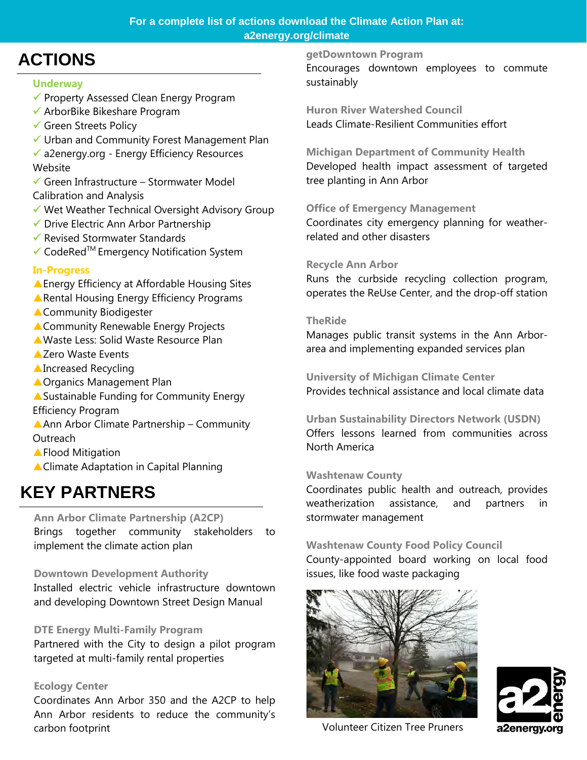### **For a complete list of actions download the Climate Action Plan at: a2energy.org/climate**

### **ACTIONS**

### **Underway**

- Property Assessed Clean Energy Program
- ArborBike Bikeshare Program
- Green Streets Policy
- Urban and Community Forest Management Plan
- a2energy.org Energy Efficiency Resources Website
- $\checkmark$  Green Infrastructure Stormwater Model Calibration and Analysis
- Wet Weather Technical Oversight Advisory Group
- Drive Electric Ann Arbor Partnership
- Revised Stormwater Standards
- $\checkmark$  CodeRed<sup>™</sup> Emergency Notification System

### **In-Progress**

- Energy Efficiency at Affordable Housing Sites
- Rental Housing Energy Efficiency Programs
- **A Community Biodigester**
- **A Community Renewable Energy Projects**
- Waste Less: Solid Waste Resource Plan
- ▲ Zero Waste Events
- **AIncreased Recycling**
- **A Organics Management Plan**
- Sustainable Funding for Community Energy Efficiency Program
- Ann Arbor Climate Partnership Community **Outreach**
- ▲ Flood Mitigation
- ▲ Climate Adaptation in Capital Planning

### **KEY PARTNERS**

### **Ann Arbor Climate Partnership (A2CP)**

Brings together community stakeholders to implement the climate action plan

### **Downtown Development Authority**

Installed electric vehicle infrastructure downtown and developing Downtown Street Design Manual

### **DTE Energy Multi-Family Program**

Partnered with the City to design a pilot program targeted at multi-family rental properties

### **Ecology Center**

Coordinates Ann Arbor 350 and the A2CP to help Ann Arbor residents to reduce the community's carbon footprint

#### **getDowntown Program**

Encourages downtown employees to commute sustainably

**Huron River Watershed Council** Leads Climate-Resilient Communities effort

**Michigan Department of Community Health** Developed health impact assessment of targeted tree planting in Ann Arbor

### **Office of Emergency Management**

Coordinates city emergency planning for weatherrelated and other disasters

### **Recycle Ann Arbor**

Runs the curbside recycling collection program, operates the ReUse Center, and the drop-off station

### **TheRide**

Manages public transit systems in the Ann Arborarea and implementing expanded services plan

**University of Michigan Climate Center** Provides technical assistance and local climate data

**Urban Sustainability Directors Network (USDN)** Offers lessons learned from communities across North America

### **Washtenaw County**

Coordinates public health and outreach, provides weatherization assistance, and partners in stormwater management

### **Washtenaw County Food Policy Council**

County-appointed board working on local food issues, like food waste packaging





Volunteer Citizen Tree Pruners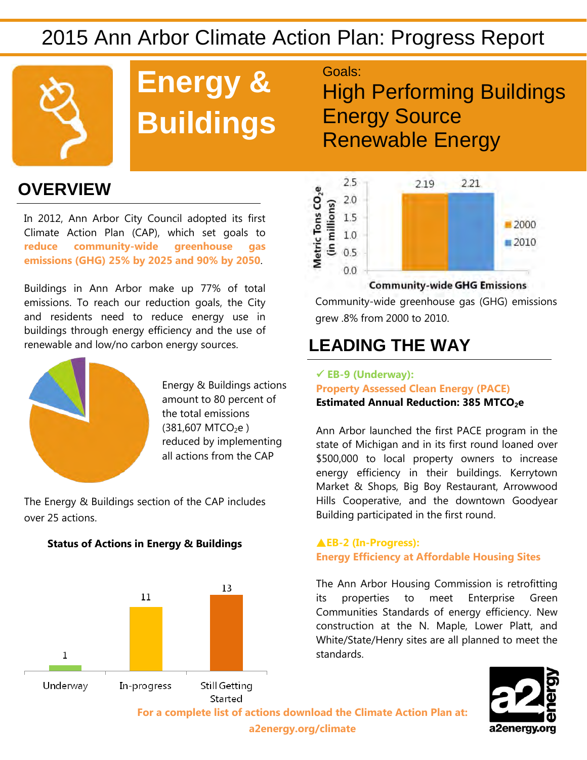

# **Energy & Buildings**

Goals:

High Performing Buildings Energy Source Renewable Energy

### **OVERVIEW**

In 2012, Ann Arbor City Council adopted its first Climate Action Plan (CAP), which set goals to **reduce community-wide greenhouse gas emissions (GHG) 25% by 2025 and 90% by 2050**.

Buildings in Ann Arbor make up 77% of total emissions. To reach our reduction goals, the City and residents need to reduce energy use in buildings through energy efficiency and the use of renewable and low/no carbon energy sources.



Energy & Buildings actions amount to 80 percent of the total emissions  $(381,607$  MTCO<sub>2</sub>e) reduced by implementing all actions from the CAP

The Energy & Buildings section of the CAP includes over 25 actions.



### **Status of Actions in Energy & Buildings**



#### **Community-wide GHG Emissions**

Community-wide greenhouse gas (GHG) emissions grew .8% from 2000 to 2010.

### **LEADING THE WAY**

### **EB-9 (Underway): Property Assessed Clean Energy (PACE) Estimated Annual Reduction: 385 MTCO<sub>2</sub>e**

Ann Arbor launched the first PACE program in the state of Michigan and in its first round loaned over \$500,000 to local property owners to increase energy efficiency in their buildings. Kerrytown Market & Shops, Big Boy Restaurant, Arrowwood Hills Cooperative, and the downtown Goodyear Building participated in the first round.

### **EB-2 (In-Progress): Energy Efficiency at Affordable Housing Sites**

The Ann Arbor Housing Commission is retrofitting its properties to meet Enterprise Green Communities Standards of energy efficiency. New construction at the N. Maple, Lower Platt, and White/State/Henry sites are all planned to meet the standards.



**For a complete list of actions download the Climate Action Plan at: a2energy.org/climate**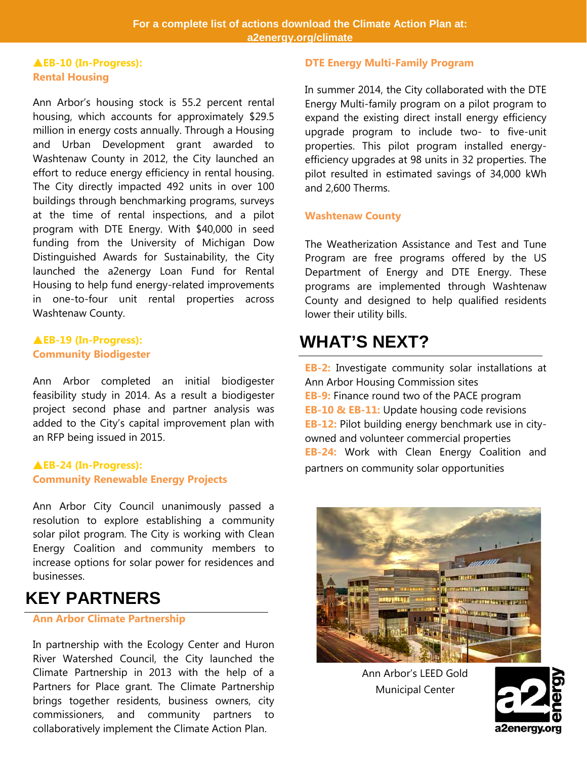#### **EB-10 (In-Progress): Rental Housing**

Ann Arbor's housing stock is 55.2 percent rental housing, which accounts for approximately \$29.5 million in energy costs annually. Through a Housing and Urban Development grant awarded to Washtenaw County in 2012, the City launched an effort to reduce energy efficiency in rental housing. The City directly impacted 492 units in over 100 buildings through benchmarking programs, surveys at the time of rental inspections, and a pilot program with DTE Energy. With \$40,000 in seed funding from the University of Michigan Dow Distinguished Awards for Sustainability, the City launched the a2energy Loan Fund for Rental Housing to help fund energy-related improvements in one-to-four unit rental properties across Washtenaw County.

#### **EB-19 (In-Progress): Community Biodigester**

Ann Arbor completed an initial biodigester feasibility study in 2014. As a result a biodigester project second phase and partner analysis was added to the City's capital improvement plan with an RFP being issued in 2015.

#### **EB-24 (In-Progress): Community Renewable Energy Projects**

Ann Arbor City Council unanimously passed a resolution to explore establishing a community solar pilot program. The City is working with Clean Energy Coalition and community members to increase options for solar power for residences and businesses.

### **KEY PARTNERS**

### **Ann Arbor Climate Partnership**

In partnership with the Ecology Center and Huron River Watershed Council, the City launched the Climate Partnership in 2013 with the help of a Partners for Place grant. The Climate Partnership brings together residents, business owners, city commissioners, and community partners to collaboratively implement the Climate Action Plan.

#### **DTE Energy Multi-Family Program**

In summer 2014, the City collaborated with the DTE Energy Multi-family program on a pilot program to expand the existing direct install energy efficiency upgrade program to include two- to five-unit properties. This pilot program installed energyefficiency upgrades at 98 units in 32 properties. The pilot resulted in estimated savings of 34,000 kWh and 2,600 Therms.

#### **Washtenaw County**

The Weatherization Assistance and Test and Tune Program are free programs offered by the US Department of Energy and DTE Energy. These programs are implemented through Washtenaw County and designed to help qualified residents lower their utility bills.

### **WHAT'S NEXT?**

**EB-2:** Investigate community solar installations at Ann Arbor Housing Commission sites **EB-9:** Finance round two of the PACE program **EB-10 & EB-11:** Update housing code revisions **EB-12:** Pilot building energy benchmark use in cityowned and volunteer commercial properties **EB-24:** Work with Clean Energy Coalition and partners on community solar opportunities



Ann Arbor's LEED Gold Municipal Center

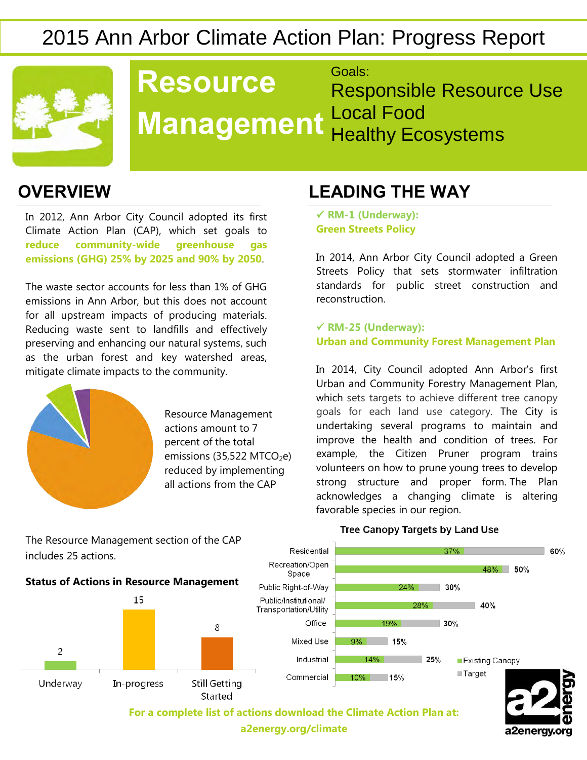

#### **Resource Management** Goals: Responsible Resource Use Local Food Healthy Ecosystems

In 2012, Ann Arbor City Council adopted its first Climate Action Plan (CAP), which set goals to **reduce community-wide greenhouse gas emissions (GHG) 25% by 2025 and 90% by 2050**.

The waste sector accounts for less than 1% of GHG emissions in Ann Arbor, but this does not account for all upstream impacts of producing materials. Reducing waste sent to landfills and effectively preserving and enhancing our natural systems, such as the urban forest and key watershed areas, mitigate climate impacts to the community.



Resource Management actions amount to 7 percent of the total emissions (35,522 MTCO<sub>2</sub>e) reduced by implementing all actions from the CAP

### **OVERVIEW LEADING THE WAY**

 **RM-1 (Underway): Green Streets Policy**

In 2014, Ann Arbor City Council adopted a Green Streets Policy that sets stormwater infiltration standards for public street construction and reconstruction.

 **RM-25 (Underway): Urban and Community Forest Management Plan**

In 2014, City Council adopted Ann Arbor's first Urban and Community Forestry Management Plan, which sets targets to achieve different tree canopy goals for each land use category. The City is undertaking several programs to maintain and improve the health and condition of trees. For example, the Citizen Pruner program trains volunteers on how to prune young trees to develop strong structure and proper form. The Plan acknowledges a changing climate is altering favorable species in our region.



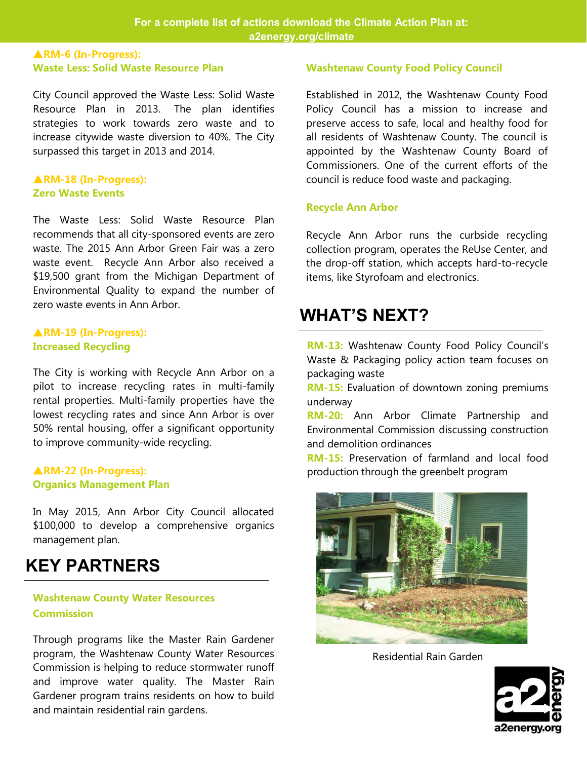### **RM-6 (In-Progress): Waste Less: Solid Waste Resource Plan**

City Council approved the Waste Less: Solid Waste Resource Plan in 2013. The plan identifies strategies to work towards zero waste and to increase citywide waste diversion to 40%. The City surpassed this target in 2013 and 2014.

#### **RM-18 (In-Progress): Zero Waste Events**

The Waste Less: Solid Waste Resource Plan recommends that all city-sponsored events are zero waste. The 2015 Ann Arbor Green Fair was a zero waste event. Recycle Ann Arbor also received a \$19,500 grant from the Michigan Department of Environmental Quality to expand the number of zero waste events in Ann Arbor.

### **RM-19 (In-Progress): Increased Recycling**

The City is working with Recycle Ann Arbor on a pilot to increase recycling rates in multi-family rental properties. Multi-family properties have the lowest recycling rates and since Ann Arbor is over 50% rental housing, offer a significant opportunity to improve community-wide recycling.

### **RM-22 (In-Progress): Organics Management Plan**

In May 2015, Ann Arbor City Council allocated \$100,000 to develop a comprehensive organics management plan.

### **KEY PARTNERS**

### **Washtenaw County Water Resources Commission**

Through programs like the Master Rain Gardener program, the Washtenaw County Water Resources Commission is helping to reduce stormwater runoff and improve water quality. The Master Rain Gardener program trains residents on how to build and maintain residential rain gardens.

### **Washtenaw County Food Policy Council**

Established in 2012, the Washtenaw County Food Policy Council has a mission to increase and preserve access to safe, local and healthy food for all residents of Washtenaw County. The council is appointed by the Washtenaw County Board of Commissioners. One of the current efforts of the council is reduce food waste and packaging.

#### **Recycle Ann Arbor**

Recycle Ann Arbor runs the curbside recycling collection program, operates the ReUse Center, and the drop-off station, which accepts hard-to-recycle items, like Styrofoam and electronics.

### **WHAT'S NEXT?**

**RM-13:** Washtenaw County Food Policy Council's Waste & Packaging policy action team focuses on packaging waste

**RM-15:** Evaluation of downtown zoning premiums underway

**RM-20:** Ann Arbor Climate Partnership and Environmental Commission discussing construction and demolition ordinances

**RM-15:** Preservation of farmland and local food production through the greenbelt program



Residential Rain Garden

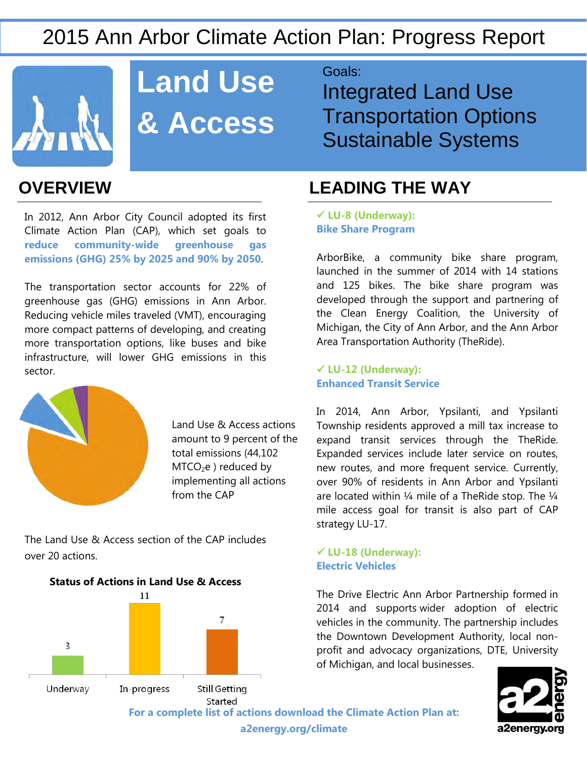

# **Land Use & Access**

In 2012, Ann Arbor City Council adopted its first Climate Action Plan (CAP), which set goals to **reduce community-wide greenhouse gas emissions (GHG) 25% by 2025 and 90% by 2050**.

The transportation sector accounts for 22% of greenhouse gas (GHG) emissions in Ann Arbor. Reducing vehicle miles traveled (VMT), encouraging more compact patterns of developing, and creating more transportation options, like buses and bike infrastructure, will lower GHG emissions in this sector.



Land Use & Access actions amount to 9 percent of the total emissions (44,102  $MTCO<sub>2</sub>e$ ) reduced by implementing all actions from the CAP

The Land Use & Access section of the CAP includes over 20 actions.



Goals:

Integrated Land Use Transportation Options Sustainable Systems

### **OVERVIEW LEADING THE WAY**

 **LU-8 (Underway): Bike Share Program**

ArborBike, a community bike share program, launched in the summer of 2014 with 14 stations and 125 bikes. The bike share program was developed through the support and partnering of the Clean Energy Coalition, the University of Michigan, the City of Ann Arbor, and the Ann Arbor Area Transportation Authority (TheRide).

 **LU-12 (Underway): Enhanced Transit Service**

In 2014, Ann Arbor, Ypsilanti, and Ypsilanti Township residents approved a mill tax increase to expand transit services through the TheRide. Expanded services include later service on routes, new routes, and more frequent service. Currently, over 90% of residents in Ann Arbor and Ypsilanti are located within 1/4 mile of a TheRide stop. The 1/4 mile access goal for transit is also part of CAP strategy LU-17.

### **LU-18 (Underway): Electric Vehicles**

The Drive Electric Ann Arbor Partnership formed in 2014 and supports wider adoption of electric vehicles in the community. The partnership includes the Downtown Development Authority, local nonprofit and advocacy organizations, DTE, University of Michigan, and local businesses.

a2energy.org

**a2energy.org/climate**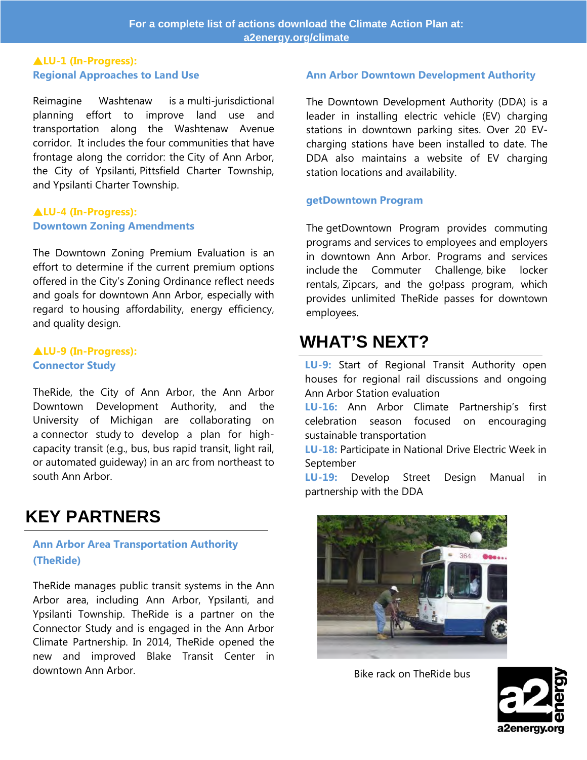### **LU-1 (In-Progress): Regional Approaches to Land Use**

Reimagine Washtenaw is a multi-jurisdictional planning effort to improve land use and transportation along the Washtenaw Avenue corridor. It includes the four communities that have frontage along the corridor: the City of Ann Arbor, the City of Ypsilanti, Pittsfield Charter Township, and Ypsilanti Charter Township.

#### **LU-4 (In-Progress): Downtown Zoning Amendments**

The Downtown Zoning Premium Evaluation is an effort to determine if the current premium options offered in the City's Zoning Ordinance reflect needs and goals for downtown Ann Arbor, especially with regard to housing affordability, energy efficiency, and quality design.

### **LU-9 (In-Progress): Connector Study**

TheRide, the City of Ann Arbor, the Ann Arbor Downtown Development Authority, and the University of Michigan are collaborating on a connector study to develop a plan for highcapacity transit (e.g., bus, bus rapid transit, light rail, or automated guideway) in an arc from northeast to south Ann Arbor.

### **KEY PARTNERS**

### **Ann Arbor Area Transportation Authority (TheRide)**

TheRide manages public transit systems in the Ann Arbor area, including Ann Arbor, Ypsilanti, and Ypsilanti Township. TheRide is a partner on the Connector Study and is engaged in the Ann Arbor Climate Partnership. In 2014, TheRide opened the new and improved Blake Transit Center in downtown Ann Arbor.

### **Ann Arbor Downtown Development Authority**

The Downtown Development Authority (DDA) is a leader in installing electric vehicle (EV) charging stations in downtown parking sites. Over 20 EVcharging stations have been installed to date. The DDA also maintains a website of EV charging station locations and availability.

#### **getDowntown Program**

The getDowntown Program provides commuting programs and services to employees and employers in downtown Ann Arbor. Programs and services include the Commuter Challenge, bike locker rentals, [Zipcars](http://www.getdowntown.org/Zipcar), and the go!pass program, which provides unlimited TheRide passes for downtown employees.

### **WHAT'S NEXT?**

**LU-9:** Start of Regional Transit Authority open houses for regional rail discussions and ongoing Ann Arbor Station evaluation

**LU-16:** Ann Arbor Climate Partnership's first celebration season focused on encouraging sustainable transportation

**LU-18:** Participate in National Drive Electric Week in September

**LU-19:** Develop Street Design Manual in partnership with the DDA



Bike rack on TheRide bus

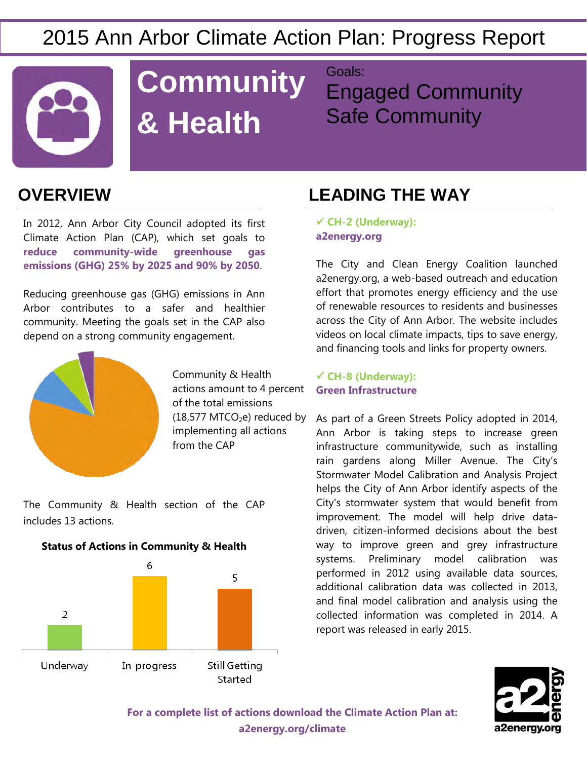

# **Community Engals: & Health**

Engaged Community Safe Community

In 2012, Ann Arbor City Council adopted its first Climate Action Plan (CAP), which set goals to **reduce community-wide greenhouse gas emissions (GHG) 25% by 2025 and 90% by 2050**.

Reducing greenhouse gas (GHG) emissions in Ann Arbor contributes to a safer and healthier community. Meeting the goals set in the CAP also depend on a strong community engagement.



Community & Health actions amount to 4 percent of the total emissions  $(18,577$  MTCO<sub>2</sub>e) reduced by implementing all actions from the CAP

The Community & Health section of the CAP includes 13 actions.



### **OVERVIEW LEADING THE WAY**

 **CH-2 (Underway): a2energy.org**

The City and Clean Energy Coalition launched a2energy.org, a web-based outreach and education effort that promotes energy efficiency and the use of renewable resources to residents and businesses across the City of Ann Arbor. The website includes videos on local climate impacts, tips to save energy, and financing tools and links for property owners.

 **CH-8 (Underway): Green Infrastructure**

As part of a Green Streets Policy adopted in 2014, Ann Arbor is taking steps to increase green infrastructure communitywide, such as installing rain gardens along Miller Avenue. The City's Stormwater Model Calibration and Analysis Project helps the City of Ann Arbor identify aspects of the City's stormwater system that would benefit from improvement. The model will help drive datadriven, citizen-informed decisions about the best way to improve green and grey infrastructure systems. Preliminary model calibration was performed in 2012 using available data sources, additional calibration data was collected in 2013, and final model calibration and analysis using the collected information was completed in 2014. A report was released in early 2015.

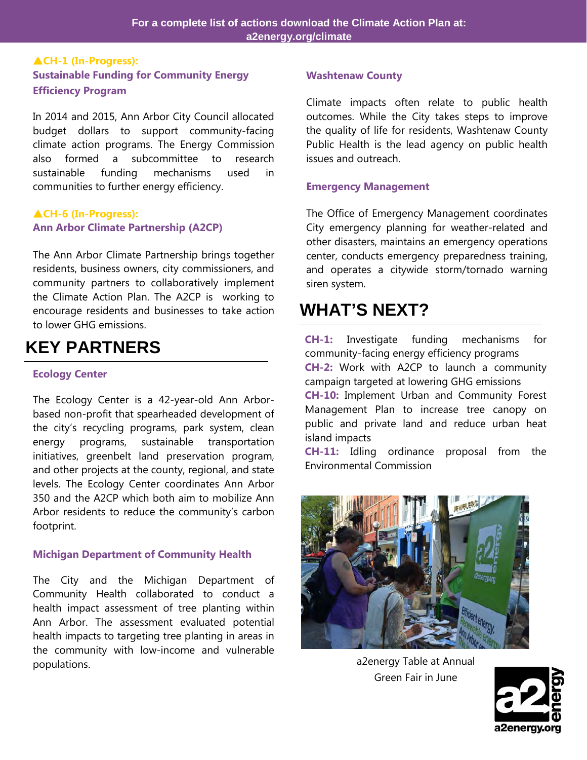### **CH-1 (In-Progress): Sustainable Funding for Community Energy Efficiency Program**

In 2014 and 2015, Ann Arbor City Council allocated budget dollars to support community-facing climate action programs. The Energy Commission also formed a subcommittee to research sustainable funding mechanisms used in communities to further energy efficiency.

### **CH-6 (In-Progress): Ann Arbor Climate Partnership (A2CP)**

The Ann Arbor Climate Partnership brings together residents, business owners, city commissioners, and community partners to collaboratively implement the Climate Action Plan. The A2CP is working to encourage residents and businesses to take action to lower GHG emissions.

### **KEY PARTNERS**

### **Ecology Center**

The Ecology Center is a 42-year-old Ann Arborbased non-profit that spearheaded development of the city's recycling programs, park system, clean energy programs, sustainable transportation initiatives, greenbelt land preservation program, and other projects at the county, regional, and state levels. The Ecology Center coordinates Ann Arbor 350 and the A2CP which both aim to mobilize Ann Arbor residents to reduce the community's carbon footprint.

### **Michigan Department of Community Health**

The City and the Michigan Department of Community Health collaborated to conduct a health impact assessment of tree planting within Ann Arbor. The assessment evaluated potential health impacts to targeting tree planting in areas in the community with low-income and vulnerable populations. The contraction of the contraction of the contraction of the contraction of the contraction of the contraction of the contraction of the contraction of the contraction of the contraction of the contraction of

#### **Washtenaw County**

Climate impacts often relate to public health outcomes. While the City takes steps to improve the quality of life for residents, Washtenaw County Public Health is the lead agency on public health issues and outreach.

#### **Emergency Management**

The Office of Emergency Management coordinates City emergency planning for weather-related and other disasters, maintains an emergency operations center, conducts emergency preparedness training, and operates a citywide storm/tornado warning siren system.

### **WHAT'S NEXT?**

**CH-1:** Investigate funding mechanisms for community-facing energy efficiency programs **CH-2:** Work with A2CP to launch a community campaign targeted at lowering GHG emissions **CH-10:** Implement Urban and Community Forest Management Plan to increase tree canopy on public and private land and reduce urban heat island impacts

**CH-11:** Idling ordinance proposal from the Environmental Commission



Green Fair in June

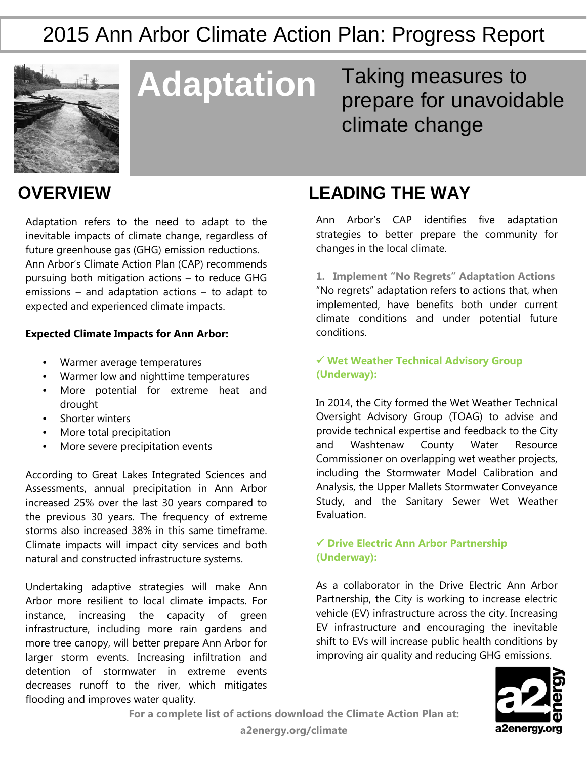

**Adaptation** Taking measures to prepare for unavoidable climate change

Adaptation refers to the need to adapt to the inevitable impacts of climate change, regardless of future greenhouse gas (GHG) emission reductions. Ann Arbor's Climate Action Plan (CAP) recommends pursuing both mitigation actions – to reduce GHG emissions – and adaptation actions – to adapt to expected and experienced climate impacts.

### **Expected Climate Impacts for Ann Arbor:**

- Warmer average temperatures
- Warmer low and nighttime temperatures
- More potential for extreme heat and drought
- Shorter winters
- More total precipitation
- More severe precipitation events

According to Great Lakes Integrated Sciences and Assessments, annual precipitation in Ann Arbor increased 25% over the last 30 years compared to the previous 30 years. The frequency of extreme storms also increased 38% in this same timeframe. Climate impacts will impact city services and both natural and constructed infrastructure systems.

Undertaking adaptive strategies will make Ann Arbor more resilient to local climate impacts. For instance, increasing the capacity of green infrastructure, including more rain gardens and more tree canopy, will better prepare Ann Arbor for larger storm events. Increasing infiltration and detention of stormwater in extreme events decreases runoff to the river, which mitigates flooding and improves water quality.

### **OVERVIEW LEADING THE WAY**

Ann Arbor's CAP identifies five adaptation strategies to better prepare the community for changes in the local climate.

**1. Implement "No Regrets" Adaptation Actions** "No regrets" adaptation refers to actions that, when implemented, have benefits both under current climate conditions and under potential future conditions.

 **Wet Weather Technical Advisory Group (Underway):** 

In 2014, the City formed the Wet Weather Technical Oversight Advisory Group (TOAG) to advise and provide technical expertise and feedback to the City and Washtenaw County Water Resource Commissioner on overlapping wet weather projects, including the Stormwater Model Calibration and Analysis, the Upper Mallets Stormwater Conveyance Study, and the Sanitary Sewer Wet Weather Evaluation.

### **Drive Electric Ann Arbor Partnership (Underway):**

As a collaborator in the Drive Electric Ann Arbor Partnership, the City is working to increase electric vehicle (EV) infrastructure across the city. Increasing EV infrastructure and encouraging the inevitable shift to EVs will increase public health conditions by improving air quality and reducing GHG emissions.



**For a complete list of actions download the Climate Action Plan at:**